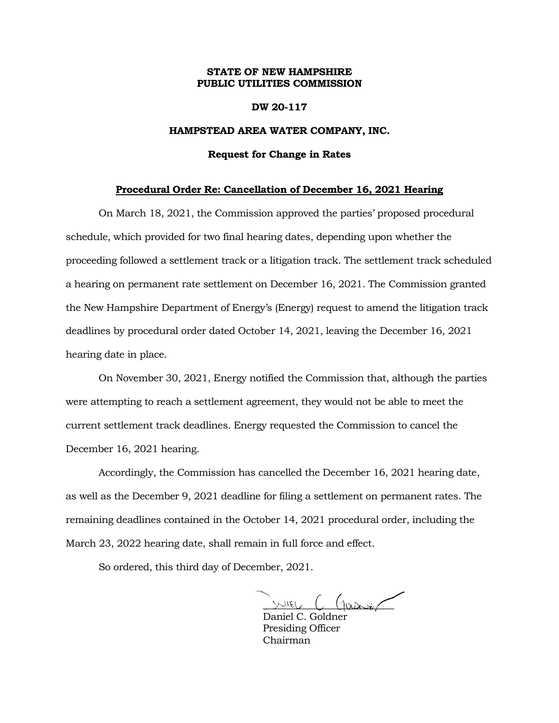## **STATE OF NEW HAMPSHIRE PUBLIC UTILITIES COMMISSION**

## **DW 20-117**

## **HAMPSTEAD AREA WATER COMPANY, INC.**

### **Request for Change in Rates**

#### **Procedural Order Re: Cancellation of December 16, 2021 Hearing**

On March 18, 2021, the Commission approved the parties' proposed procedural schedule, which provided for two final hearing dates, depending upon whether the proceeding followed a settlement track or a litigation track. The settlement track scheduled a hearing on permanent rate settlement on December 16, 2021. The Commission granted the New Hampshire Department of Energy's (Energy) request to amend the litigation track deadlines by procedural order dated October 14, 2021, leaving the December 16, 2021 hearing date in place.

On November 30, 2021, Energy notified the Commission that, although the parties were attempting to reach a settlement agreement, they would not be able to meet the current settlement track deadlines. Energy requested the Commission to cancel the December 16, 2021 hearing.

Accordingly, the Commission has cancelled the December 16, 2021 hearing date, as well as the December 9, 2021 deadline for filing a settlement on permanent rates. The remaining deadlines contained in the October 14, 2021 procedural order, including the March 23, 2022 hearing date, shall remain in full force and effect.

So ordered, this third day of December, 2021.

 $z \sim 6$   $\sim 6$ 

Daniel C. Goldner Presiding Officer Chairman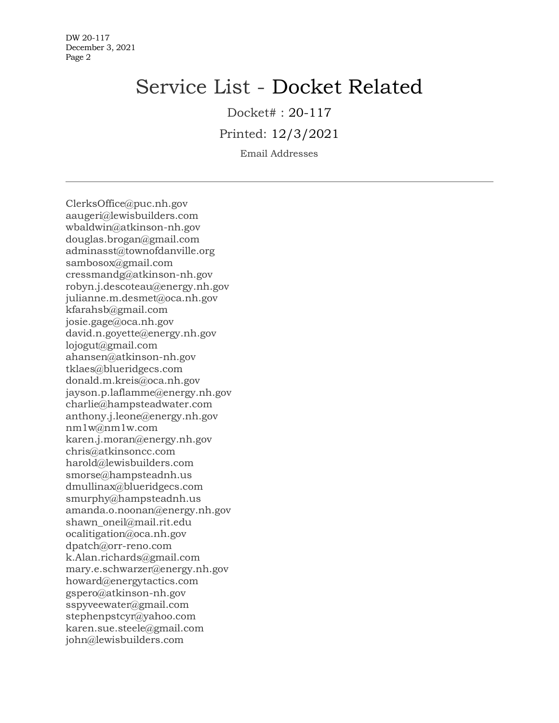# Service List - Docket Related

Docket# : 20-117

Printed: 12/3/2021

Email Addresses

ClerksOffice@puc.nh.gov aaugeri@lewisbuilders.com wbaldwin@atkinson-nh.gov douglas.brogan@gmail.com adminasst@townofdanville.org sambosox@gmail.com cressmandg@atkinson-nh.gov robyn.j.descoteau@energy.nh.gov julianne.m.desmet@oca.nh.gov kfarahsb@gmail.com josie.gage@oca.nh.gov david.n.goyette@energy.nh.gov lojogut@gmail.com ahansen@atkinson-nh.gov tklaes@blueridgecs.com donald.m.kreis@oca.nh.gov jayson.p.laflamme@energy.nh.gov charlie@hampsteadwater.com anthony.j.leone@energy.nh.gov nm1w@nm1w.com karen.j.moran@energy.nh.gov chris@atkinsoncc.com harold@lewisbuilders.com smorse@hampsteadnh.us dmullinax@blueridgecs.com smurphy@hampsteadnh.us amanda.o.noonan@energy.nh.gov shawn\_oneil@mail.rit.edu ocalitigation@oca.nh.gov dpatch@orr-reno.com k.Alan.richards@gmail.com mary.e.schwarzer@energy.nh.gov howard@energytactics.com gspero@atkinson-nh.gov sspyveewater@gmail.com stephenpstcyr@yahoo.com karen.sue.steele@gmail.com john@lewisbuilders.com